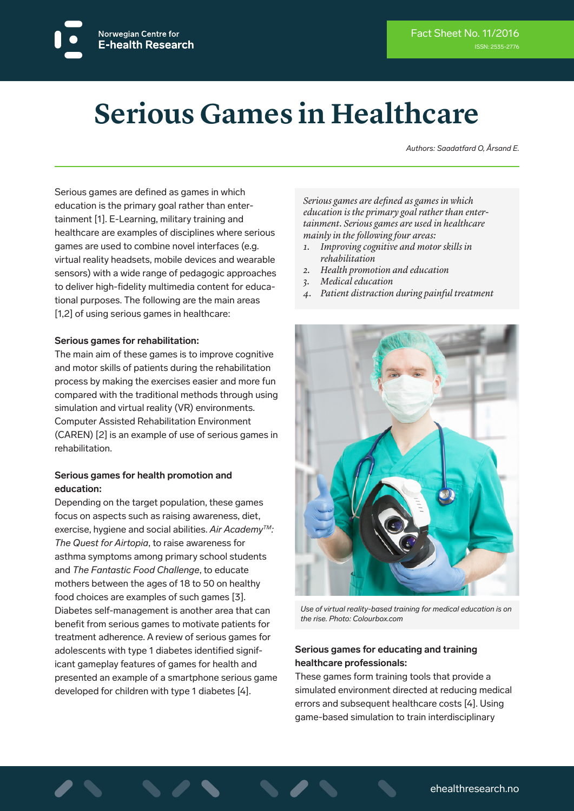# **Serious Games in Healthcare**

*Authors: Saadatfard O, Årsand E.*

Serious games are defined as games in which education is the primary goal rather than entertainment [1]. E-Learning, military training and healthcare are examples of disciplines where serious games are used to combine novel interfaces (e.g. virtual reality headsets, mobile devices and wearable sensors) with a wide range of pedagogic approaches to deliver high-fidelity multimedia content for educational purposes. The following are the main areas [1,2] of using serious games in healthcare:

#### **Serious games for rehabilitation:**

The main aim of these games is to improve cognitive and motor skills of patients during the rehabilitation process by making the exercises easier and more fun compared with the traditional methods through using simulation and virtual reality (VR) environments. Computer Assisted Rehabilitation Environment (CAREN) [2] is an example of use of serious games in rehabilitation.

#### **Serious games for health promotion and education:**

Depending on the target population, these games focus on aspects such as raising awareness, diet, exercise, hygiene and social abilities. *Air AcademyTM: The Quest for Airtopia*, to raise awareness for asthma symptoms among primary school students and *The Fantastic Food Challenge*, to educate mothers between the ages of 18 to 50 on healthy food choices are examples of such games [3]. Diabetes self-management is another area that can benefit from serious games to motivate patients for treatment adherence. A review of serious games for adolescents with type 1 diabetes identified significant gameplay features of games for health and presented an example of a smartphone serious game developed for children with type 1 diabetes [4].

*Serious games are defined as games in which education is the primary goal rather than entertainment. Serious games are used in healthcare mainly in the following four areas:*

- *1. Improving cognitive and motor skills in rehabilitation*
- *2. Health promotion and education*
- *3. Medical education*
- *4. Patient distraction during painful treatment*



*Use of virtual reality-based training for medical education is on the rise. Photo: Colourbox.com*

#### **Serious games for educating and training healthcare professionals:**

These games form training tools that provide a simulated environment directed at reducing medical errors and subsequent healthcare costs [4]. Using game-based simulation to train interdisciplinary